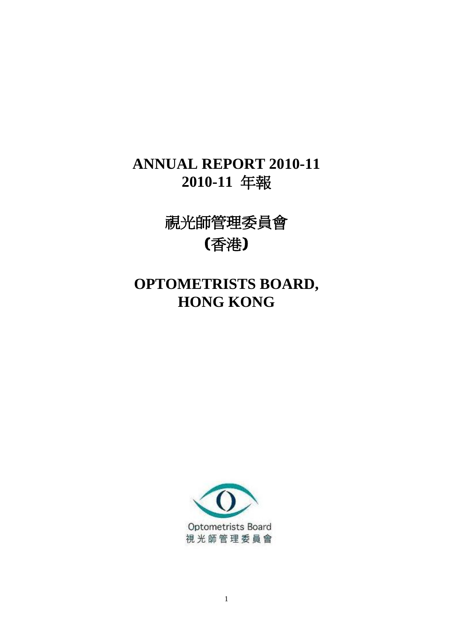## **ANNUAL REPORT 2010-11 2010-11** 年報

視光師管理委員會 (香港)

## **OPTOMETRISTS BOARD, HONG KONG**

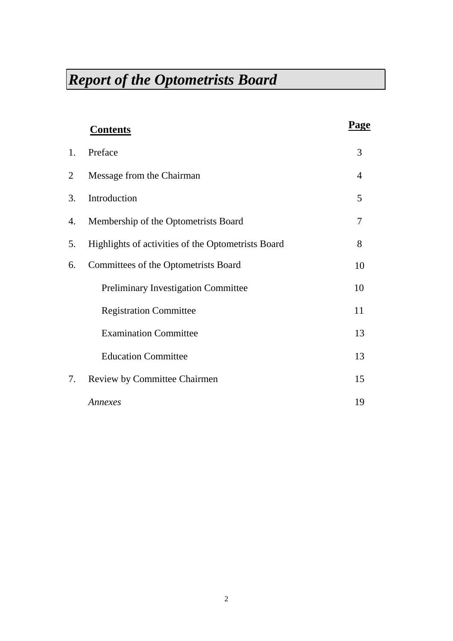|    | <b>Contents</b>                                    | 'age |
|----|----------------------------------------------------|------|
| 1. | Preface                                            | 3    |
| 2  | Message from the Chairman                          | 4    |
| 3. | Introduction                                       | 5    |
| 4. | Membership of the Optometrists Board               | 7    |
| 5. | Highlights of activities of the Optometrists Board | 8    |
| 6. | Committees of the Optometrists Board               | 10   |
|    | <b>Preliminary Investigation Committee</b>         | 10   |
|    | <b>Registration Committee</b>                      | 11   |
|    | <b>Examination Committee</b>                       | 13   |
|    | <b>Education Committee</b>                         | 13   |
| 7. | <b>Review by Committee Chairmen</b>                | 15   |
|    | Annexes                                            | 19   |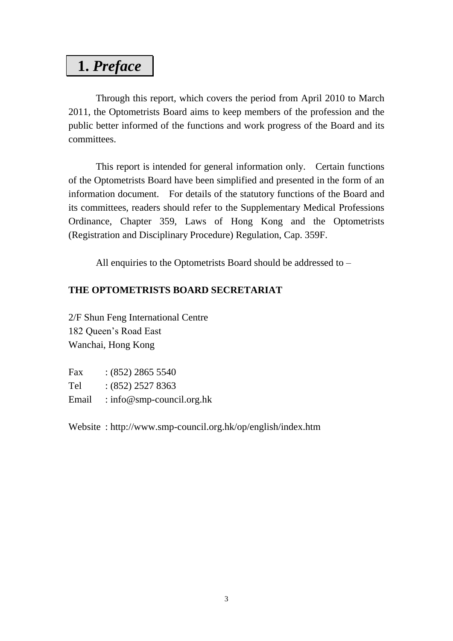## **1.** *Preface*

Through this report, which covers the period from April 2010 to March 2011, the Optometrists Board aims to keep members of the profession and the public better informed of the functions and work progress of the Board and its committees.

This report is intended for general information only. Certain functions of the Optometrists Board have been simplified and presented in the form of an information document. For details of the statutory functions of the Board and its committees, readers should refer to the Supplementary Medical Professions Ordinance, Chapter 359, Laws of Hong Kong and the Optometrists (Registration and Disciplinary Procedure) Regulation, Cap. 359F.

All enquiries to the Optometrists Board should be addressed to –

## **THE OPTOMETRISTS BOARD SECRETARIAT**

2/F Shun Feng International Centre 182 Queen"s Road East Wanchai, Hong Kong

| Fax   | $(852)$ 2865 5540         |
|-------|---------------------------|
| Tel   | $:(852)$ 2527 8363        |
| Email | : info@smp-council.org.hk |

Website : http://www.smp-council.org.hk/op/english/index.htm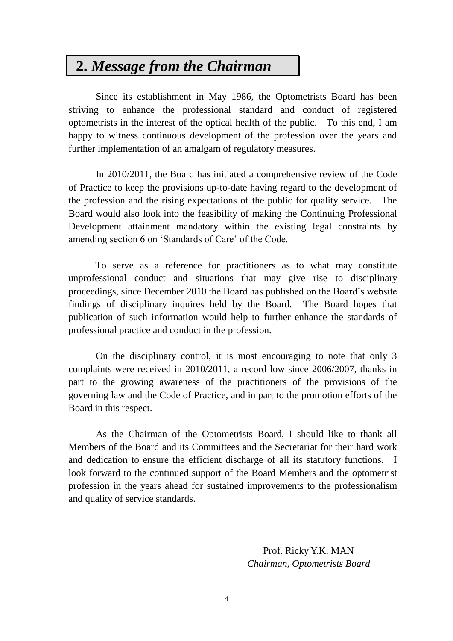## **2.** *Message from the Chairman*

Since its establishment in May 1986, the Optometrists Board has been striving to enhance the professional standard and conduct of registered optometrists in the interest of the optical health of the public. To this end, I am happy to witness continuous development of the profession over the years and further implementation of an amalgam of regulatory measures.

In 2010/2011, the Board has initiated a comprehensive review of the Code of Practice to keep the provisions up-to-date having regard to the development of the profession and the rising expectations of the public for quality service. The Board would also look into the feasibility of making the Continuing Professional Development attainment mandatory within the existing legal constraints by amending section 6 on "Standards of Care" of the Code.

To serve as a reference for practitioners as to what may constitute unprofessional conduct and situations that may give rise to disciplinary proceedings, since December 2010 the Board has published on the Board"s website findings of disciplinary inquires held by the Board. The Board hopes that publication of such information would help to further enhance the standards of professional practice and conduct in the profession.

On the disciplinary control, it is most encouraging to note that only 3 complaints were received in 2010/2011, a record low since 2006/2007, thanks in part to the growing awareness of the practitioners of the provisions of the governing law and the Code of Practice, and in part to the promotion efforts of the Board in this respect.

As the Chairman of the Optometrists Board, I should like to thank all Members of the Board and its Committees and the Secretariat for their hard work and dedication to ensure the efficient discharge of all its statutory functions. I look forward to the continued support of the Board Members and the optometrist profession in the years ahead for sustained improvements to the professionalism and quality of service standards.

> Prof. Ricky Y.K. MAN *Chairman, Optometrists Board*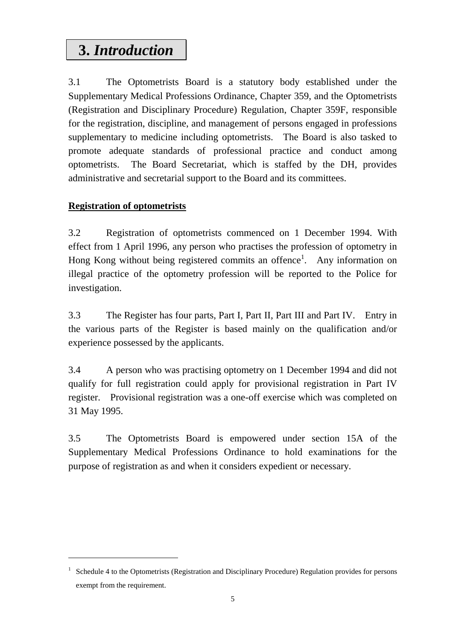## **3.** *Introduction*

3.1 The Optometrists Board is a statutory body established under the Supplementary Medical Professions Ordinance, Chapter 359, and the Optometrists (Registration and Disciplinary Procedure) Regulation, Chapter 359F, responsible for the registration, discipline, and management of persons engaged in professions supplementary to medicine including optometrists. The Board is also tasked to promote adequate standards of professional practice and conduct among optometrists. The Board Secretariat, which is staffed by the DH, provides administrative and secretarial support to the Board and its committees.

## **Registration of optometrists**

 $\overline{a}$ 

3.2 Registration of optometrists commenced on 1 December 1994. With effect from 1 April 1996, any person who practises the profession of optometry in Hong Kong without being registered commits an offence<sup>1</sup>. Any information on illegal practice of the optometry profession will be reported to the Police for investigation.

3.3 The Register has four parts, Part I, Part II, Part III and Part IV. Entry in the various parts of the Register is based mainly on the qualification and/or experience possessed by the applicants.

3.4 A person who was practising optometry on 1 December 1994 and did not qualify for full registration could apply for provisional registration in Part IV register. Provisional registration was a one-off exercise which was completed on 31 May 1995.

3.5 The Optometrists Board is empowered under section 15A of the Supplementary Medical Professions Ordinance to hold examinations for the purpose of registration as and when it considers expedient or necessary.

<sup>&</sup>lt;sup>1</sup> Schedule 4 to the Optometrists (Registration and Disciplinary Procedure) Regulation provides for persons exempt from the requirement.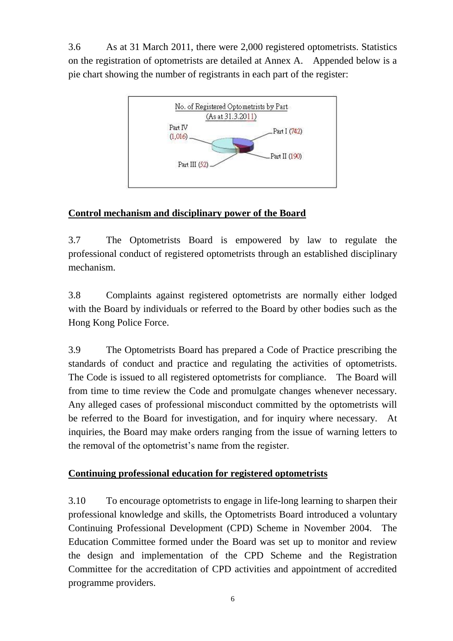3.6 As at 31 March 2011, there were 2,000 registered optometrists. Statistics on the registration of optometrists are detailed at Annex A. Appended below is a pie chart showing the number of registrants in each part of the register:



## **Control mechanism and disciplinary power of the Board**

3.7 The Optometrists Board is empowered by law to regulate the professional conduct of registered optometrists through an established disciplinary mechanism.

3.8 Complaints against registered optometrists are normally either lodged with the Board by individuals or referred to the Board by other bodies such as the Hong Kong Police Force.

3.9 The Optometrists Board has prepared a Code of Practice prescribing the standards of conduct and practice and regulating the activities of optometrists. The Code is issued to all registered optometrists for compliance. The Board will from time to time review the Code and promulgate changes whenever necessary. Any alleged cases of professional misconduct committed by the optometrists will be referred to the Board for investigation, and for inquiry where necessary. At inquiries, the Board may make orders ranging from the issue of warning letters to the removal of the optometrist's name from the register.

## **Continuing professional education for registered optometrists**

3.10 To encourage optometrists to engage in life-long learning to sharpen their professional knowledge and skills, the Optometrists Board introduced a voluntary Continuing Professional Development (CPD) Scheme in November 2004. The Education Committee formed under the Board was set up to monitor and review the design and implementation of the CPD Scheme and the Registration Committee for the accreditation of CPD activities and appointment of accredited programme providers.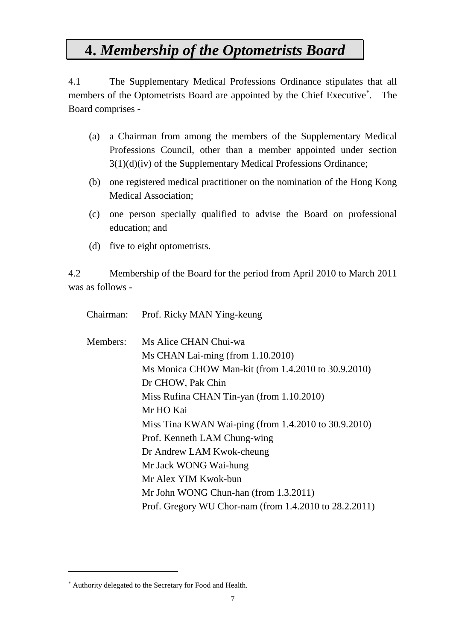## **4.** *Membership of the Optometrists Board*

4.1 The Supplementary Medical Professions Ordinance stipulates that all members of the Optometrists Board are appointed by the Chief Executive . The Board comprises -

- (a) a Chairman from among the members of the Supplementary Medical Professions Council, other than a member appointed under section  $3(1)(d)(iv)$  of the Supplementary Medical Professions Ordinance;
- (b) one registered medical practitioner on the nomination of the Hong Kong Medical Association;
- (c) one person specially qualified to advise the Board on professional education; and
- (d) five to eight optometrists.

4.2 Membership of the Board for the period from April 2010 to March 2011 was as follows -

Chairman: Prof. Ricky MAN Ying-keung

| Members: | Ms Alice CHAN Chui-wa                                     |
|----------|-----------------------------------------------------------|
|          | Ms CHAN Lai-ming (from $1.10.2010$ )                      |
|          | Ms Monica CHOW Man-kit (from 1.4.2010 to 30.9.2010)       |
|          | Dr CHOW, Pak Chin                                         |
|          | Miss Rufina CHAN Tin-yan (from 1.10.2010)                 |
|          | Mr HO Kai                                                 |
|          | Miss Tina KWAN Wai-ping (from $1.4.2010$ to $30.9.2010$ ) |
|          | Prof. Kenneth LAM Chung-wing                              |
|          | Dr Andrew LAM Kwok-cheung                                 |
|          | Mr Jack WONG Wai-hung                                     |
|          | Mr Alex YIM Kwok-bun                                      |
|          | Mr John WONG Chun-han (from 1.3.2011)                     |
|          | Prof. Gregory WU Chor-nam (from 1.4.2010 to 28.2.2011)    |

 $\overline{a}$ 

Authority delegated to the Secretary for Food and Health.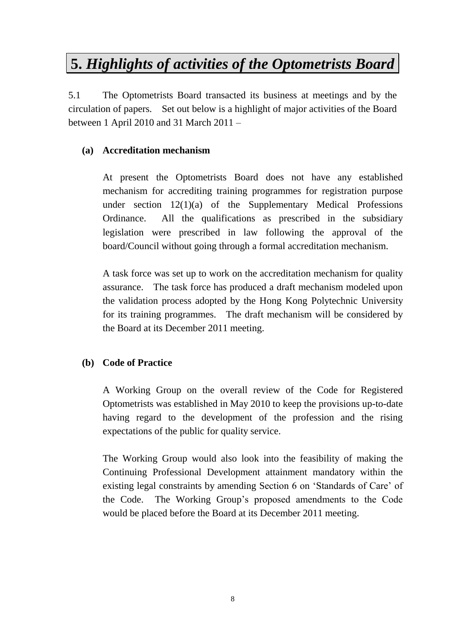# **5.** *Highlights of activities of the Optometrists Board*

5.1 The Optometrists Board transacted its business at meetings and by the circulation of papers. Set out below is a highlight of major activities of the Board between 1 April 2010 and 31 March 2011 –

## **(a) Accreditation mechanism**

At present the Optometrists Board does not have any established mechanism for accrediting training programmes for registration purpose under section 12(1)(a) of the Supplementary Medical Professions Ordinance. All the qualifications as prescribed in the subsidiary legislation were prescribed in law following the approval of the board/Council without going through a formal accreditation mechanism.

A task force was set up to work on the accreditation mechanism for quality assurance. The task force has produced a draft mechanism modeled upon the validation process adopted by the Hong Kong Polytechnic University for its training programmes. The draft mechanism will be considered by the Board at its December 2011 meeting.

## **(b) Code of Practice**

A Working Group on the overall review of the Code for Registered Optometrists was established in May 2010 to keep the provisions up-to-date having regard to the development of the profession and the rising expectations of the public for quality service.

The Working Group would also look into the feasibility of making the Continuing Professional Development attainment mandatory within the existing legal constraints by amending Section 6 on 'Standards of Care' of the Code. The Working Group"s proposed amendments to the Code would be placed before the Board at its December 2011 meeting.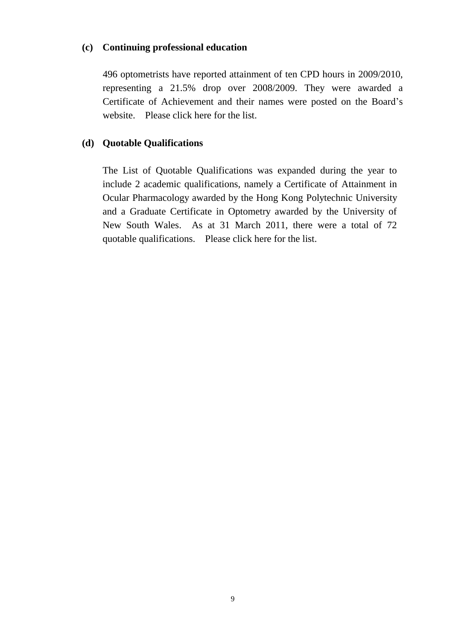#### **(c) Continuing professional education**

496 optometrists have reported attainment of ten CPD hours in 2009/2010, representing a 21.5% drop over 2008/2009. They were awarded a Certificate of Achievement and their names were posted on the Board"s website. Please click [here](http://www.smp-council.org.hk/op/(A)(1)(i)_eng.pdf) for the list.

#### **(d) Quotable Qualifications**

The List of Quotable Qualifications was expanded during the year to include 2 academic qualifications, namely a Certificate of Attainment in Ocular Pharmacology awarded by the Hong Kong Polytechnic University and a Graduate Certificate in Optometry awarded by the University of New South Wales. As at 31 March 2011, there were a total of 72 quotable qualifications. Please click [here](http://www.smp-council.org.hk/op/lqq.pdf) for the list.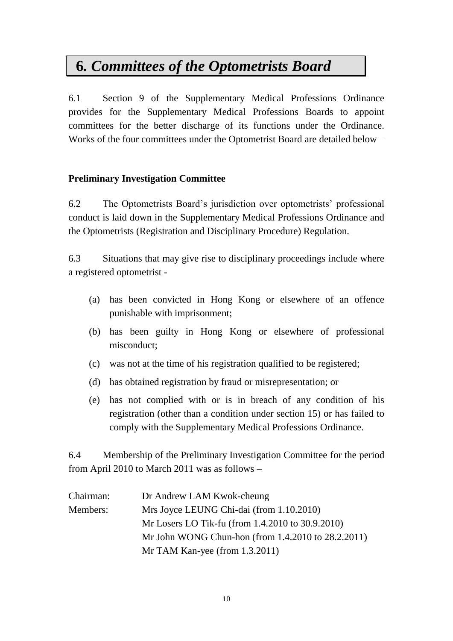# **6***. Committees of the Optometrists Board*

6.1 Section 9 of the Supplementary Medical Professions Ordinance provides for the Supplementary Medical Professions Boards to appoint committees for the better discharge of its functions under the Ordinance. Works of the four committees under the Optometrist Board are detailed below –

## **Preliminary Investigation Committee**

6.2 The Optometrists Board"s jurisdiction over optometrists" professional conduct is laid down in the Supplementary Medical Professions Ordinance and the Optometrists (Registration and Disciplinary Procedure) Regulation.

6.3 Situations that may give rise to disciplinary proceedings include where a registered optometrist -

- (a) has been convicted in Hong Kong or elsewhere of an offence punishable with imprisonment;
- (b) has been guilty in Hong Kong or elsewhere of professional misconduct;
- (c) was not at the time of his registration qualified to be registered;
- (d) has obtained registration by fraud or misrepresentation; or
- (e) has not complied with or is in breach of any condition of his registration (other than a condition under section 15) or has failed to comply with the Supplementary Medical Professions Ordinance.

6.4 Membership of the Preliminary Investigation Committee for the period from April 2010 to March 2011 was as follows –

| Chairman: | Dr Andrew LAM Kwok-cheung                               |
|-----------|---------------------------------------------------------|
| Members:  | Mrs Joyce LEUNG Chi-dai (from 1.10.2010)                |
|           | Mr Losers LO Tik-fu (from 1.4.2010 to 30.9.2010)        |
|           | Mr John WONG Chun-hon (from $1.4.2010$ to $28.2.2011$ ) |
|           | Mr TAM Kan-yee (from $1.3.2011$ )                       |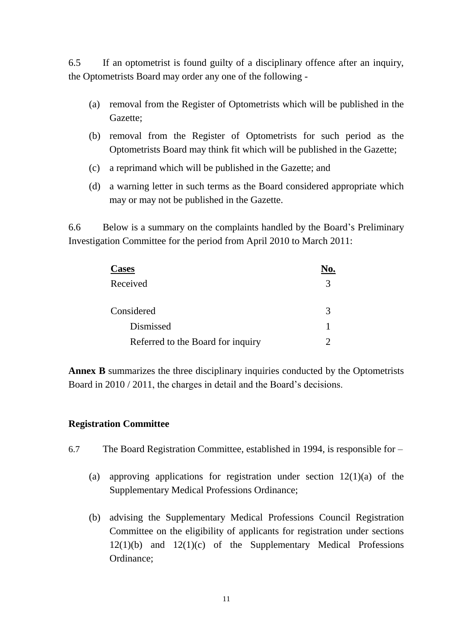6.5 If an optometrist is found guilty of a disciplinary offence after an inquiry, the Optometrists Board may order any one of the following -

- (a) removal from the Register of Optometrists which will be published in the Gazette;
- (b) removal from the Register of Optometrists for such period as the Optometrists Board may think fit which will be published in the Gazette;
- (c) a reprimand which will be published in the Gazette; and
- (d) a warning letter in such terms as the Board considered appropriate which may or may not be published in the Gazette.

6.6 Below is a summary on the complaints handled by the Board"s Preliminary Investigation Committee for the period from April 2010 to March 2011:

| <b>Cases</b>                      |  |
|-----------------------------------|--|
| Received                          |  |
| Considered                        |  |
| Dismissed                         |  |
| Referred to the Board for inquiry |  |

**Annex B** summarizes the three disciplinary inquiries conducted by the Optometrists Board in 2010 / 2011, the charges in detail and the Board's decisions.

### **Registration Committee**

- 6.7 The Board Registration Committee, established in 1994, is responsible for
	- (a) approving applications for registration under section  $12(1)(a)$  of the Supplementary Medical Professions Ordinance;
	- (b) advising the Supplementary Medical Professions Council Registration Committee on the eligibility of applicants for registration under sections  $12(1)(b)$  and  $12(1)(c)$  of the Supplementary Medical Professions Ordinance;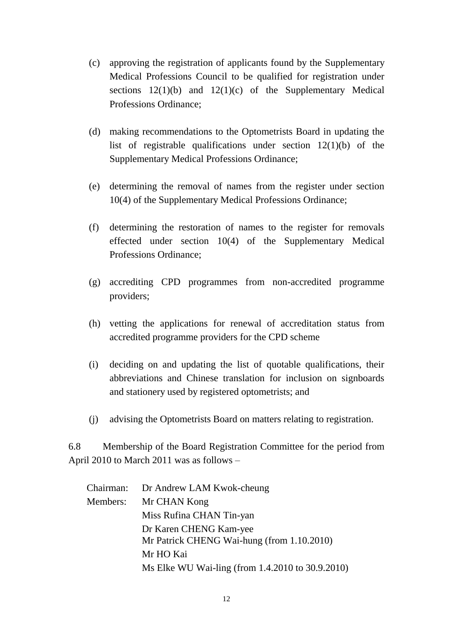- (c) approving the registration of applicants found by the Supplementary Medical Professions Council to be qualified for registration under sections  $12(1)(b)$  and  $12(1)(c)$  of the Supplementary Medical Professions Ordinance;
- (d) making recommendations to the Optometrists Board in updating the list of registrable qualifications under section 12(1)(b) of the Supplementary Medical Professions Ordinance;
- (e) determining the removal of names from the register under section 10(4) of the Supplementary Medical Professions Ordinance;
- (f) determining the restoration of names to the register for removals effected under section 10(4) of the Supplementary Medical Professions Ordinance;
- (g) accrediting CPD programmes from non-accredited programme providers;
- (h) vetting the applications for renewal of accreditation status from accredited programme providers for the CPD scheme
- (i) deciding on and updating the list of quotable qualifications, their abbreviations and Chinese translation for inclusion on signboards and stationery used by registered optometrists; and
- (j) advising the Optometrists Board on matters relating to registration.

6.8 Membership of the Board Registration Committee for the period from April 2010 to March 2011 was as follows –

| Chairman: | Dr Andrew LAM Kwok-cheung                        |
|-----------|--------------------------------------------------|
| Members:  | Mr CHAN Kong                                     |
|           | Miss Rufina CHAN Tin-yan                         |
|           | Dr Karen CHENG Kam-yee                           |
|           | Mr Patrick CHENG Wai-hung (from 1.10.2010)       |
|           | Mr HO Kai                                        |
|           | Ms Elke WU Wai-ling (from 1.4.2010 to 30.9.2010) |
|           |                                                  |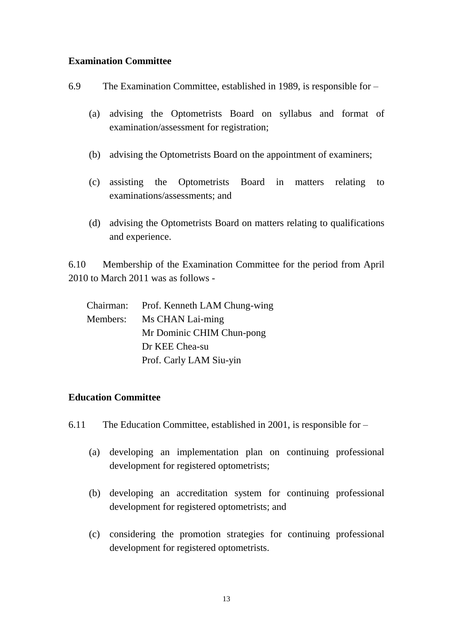## **Examination Committee**

| 6.9                                                                                                              | The Examination Committee, established in 1989, is responsible for $-$                                       |  |  |  |  |
|------------------------------------------------------------------------------------------------------------------|--------------------------------------------------------------------------------------------------------------|--|--|--|--|
|                                                                                                                  | advising the Optometrists Board on syllabus and format of<br>(a)<br>examination/assessment for registration; |  |  |  |  |
| (b)                                                                                                              | advising the Optometrists Board on the appointment of examiners;                                             |  |  |  |  |
| (c)                                                                                                              | assisting the Optometrists Board in matters<br>relating<br>to<br>examinations/assessments; and               |  |  |  |  |
|                                                                                                                  | advising the Optometrists Board on matters relating to qualifications<br>(d)<br>and experience.              |  |  |  |  |
| 6.10<br>Membership of the Examination Committee for the period from April<br>2010 to March 2011 was as follows - |                                                                                                              |  |  |  |  |
| Chairman:<br>Prof. Kenneth LAM Chung-wing                                                                        |                                                                                                              |  |  |  |  |
| Members:<br>Ms CHAN Lai-ming                                                                                     |                                                                                                              |  |  |  |  |
| Mr Dominic CHIM Chun-pong                                                                                        |                                                                                                              |  |  |  |  |
| Dr KEE Chea-su                                                                                                   |                                                                                                              |  |  |  |  |

### **Education Committee**

6.11 The Education Committee, established in 2001, is responsible for –

Prof. Carly LAM Siu-yin

- (a) developing an implementation plan on continuing professional development for registered optometrists;
- (b) developing an accreditation system for continuing professional development for registered optometrists; and
- (c) considering the promotion strategies for continuing professional development for registered optometrists.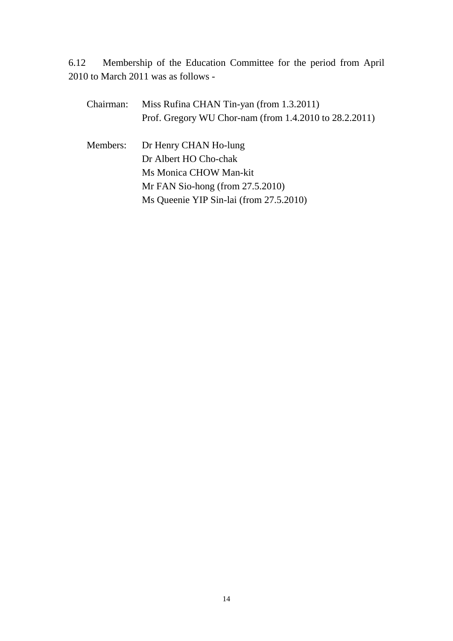6.12 Membership of the Education Committee for the period from April 2010 to March 2011 was as follows -

| Chairman: | Miss Rufina CHAN Tin-yan (from 1.3.2011)                    |  |  |  |
|-----------|-------------------------------------------------------------|--|--|--|
|           | Prof. Gregory WU Chor-nam (from $1.4.2010$ to $28.2.2011$ ) |  |  |  |
|           |                                                             |  |  |  |
| Members:  | Dr Henry CHAN Ho-lung                                       |  |  |  |
|           | Dr Albert HO Cho-chak                                       |  |  |  |
|           | Ms Monica CHOW Man-kit                                      |  |  |  |
|           | Mr FAN Sio-hong (from $27.5.2010$ )                         |  |  |  |
|           | Ms Queenie YIP Sin-lai (from 27.5.2010)                     |  |  |  |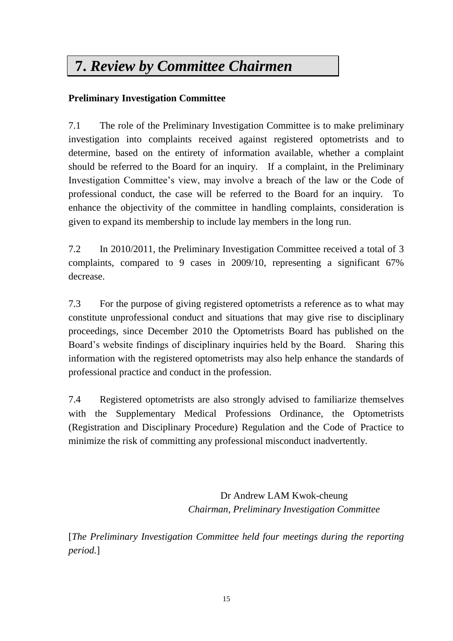# **7.** *Review by Committee Chairmen*

## **Preliminary Investigation Committee**

7.1 The role of the Preliminary Investigation Committee is to make preliminary investigation into complaints received against registered optometrists and to determine, based on the entirety of information available, whether a complaint should be referred to the Board for an inquiry. If a complaint, in the Preliminary Investigation Committee's view, may involve a breach of the law or the Code of professional conduct, the case will be referred to the Board for an inquiry. To enhance the objectivity of the committee in handling complaints, consideration is given to expand its membership to include lay members in the long run.

7.2 In 2010/2011, the Preliminary Investigation Committee received a total of 3 complaints, compared to 9 cases in 2009/10, representing a significant 67% decrease.

7.3 For the purpose of giving registered optometrists a reference as to what may constitute unprofessional conduct and situations that may give rise to disciplinary proceedings, since December 2010 the Optometrists Board has published on the Board"s website findings of disciplinary inquiries held by the Board. Sharing this information with the registered optometrists may also help enhance the standards of professional practice and conduct in the profession.

7.4 Registered optometrists are also strongly advised to familiarize themselves with the Supplementary Medical Professions Ordinance, the Optometrists (Registration and Disciplinary Procedure) Regulation and the Code of Practice to minimize the risk of committing any professional misconduct inadvertently.

> Dr Andrew LAM Kwok-cheung *Chairman, Preliminary Investigation Committee*

[*The Preliminary Investigation Committee held four meetings during the reporting period.*]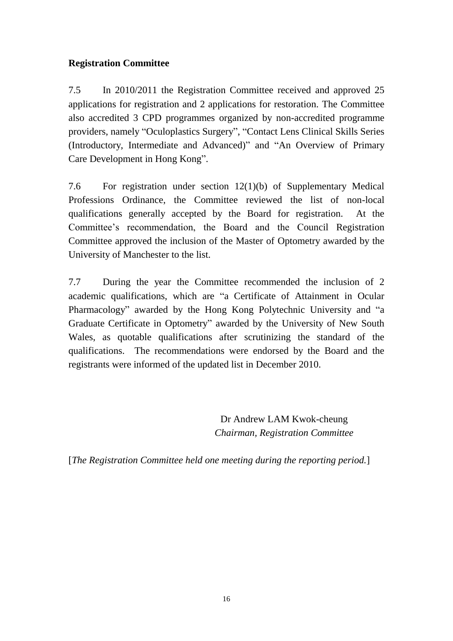## **Registration Committee**

7.5 In 2010/2011 the Registration Committee received and approved 25 applications for registration and 2 applications for restoration. The Committee also accredited 3 CPD programmes organized by non-accredited programme providers, namely "Oculoplastics Surgery", "Contact Lens Clinical Skills Series (Introductory, Intermediate and Advanced)" and "An Overview of Primary Care Development in Hong Kong".

7.6 For registration under section 12(1)(b) of Supplementary Medical Professions Ordinance, the Committee reviewed the list of non-local qualifications generally accepted by the Board for registration. At the Committee"s recommendation, the Board and the Council Registration Committee approved the inclusion of the Master of Optometry awarded by the University of Manchester to the list.

7.7 During the year the Committee recommended the inclusion of 2 academic qualifications, which are "a Certificate of Attainment in Ocular Pharmacology" awarded by the Hong Kong Polytechnic University and "a Graduate Certificate in Optometry" awarded by the University of New South Wales, as quotable qualifications after scrutinizing the standard of the qualifications. The recommendations were endorsed by the Board and the registrants were informed of the updated list in December 2010.

> Dr Andrew LAM Kwok-cheung *Chairman, Registration Committee*

[*The Registration Committee held one meeting during the reporting period.*]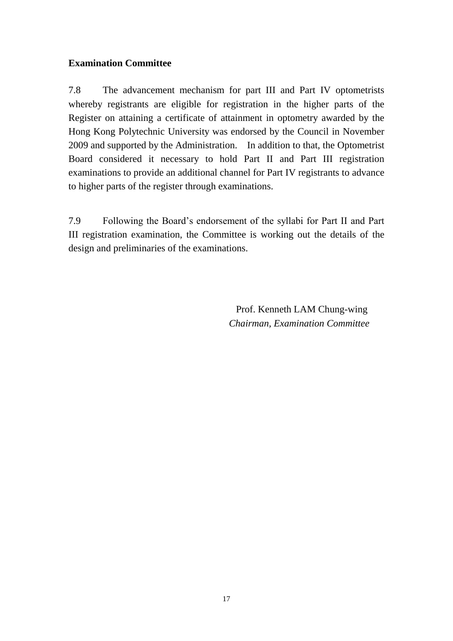### **Examination Committee**

7.8 The advancement mechanism for part III and Part IV optometrists whereby registrants are eligible for registration in the higher parts of the Register on attaining a certificate of attainment in optometry awarded by the Hong Kong Polytechnic University was endorsed by the Council in November 2009 and supported by the Administration. In addition to that, the Optometrist Board considered it necessary to hold Part II and Part III registration examinations to provide an additional channel for Part IV registrants to advance to higher parts of the register through examinations.

7.9 Following the Board"s endorsement of the syllabi for Part II and Part III registration examination, the Committee is working out the details of the design and preliminaries of the examinations.

> Prof. Kenneth LAM Chung-wing *Chairman, Examination Committee*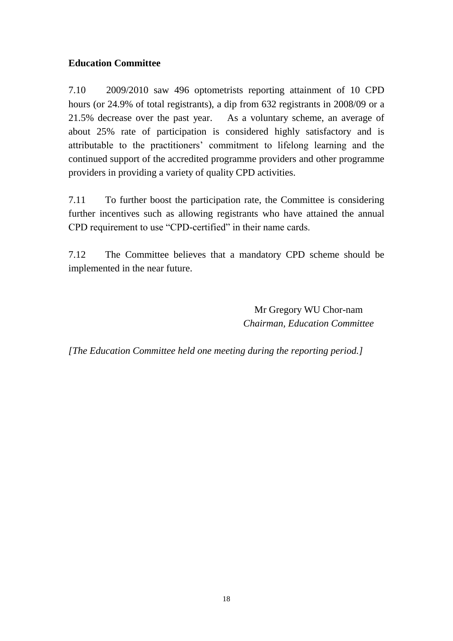### **Education Committee**

7.10 2009/2010 saw 496 optometrists reporting attainment of 10 CPD hours (or 24.9% of total registrants), a dip from 632 registrants in 2008/09 or a 21.5% decrease over the past year. As a voluntary scheme, an average of about 25% rate of participation is considered highly satisfactory and is attributable to the practitioners" commitment to lifelong learning and the continued support of the accredited programme providers and other programme providers in providing a variety of quality CPD activities.

7.11 To further boost the participation rate, the Committee is considering further incentives such as allowing registrants who have attained the annual CPD requirement to use "CPD-certified" in their name cards.

7.12 The Committee believes that a mandatory CPD scheme should be implemented in the near future.

> Mr Gregory WU Chor-nam *Chairman, Education Committee*

*[The Education Committee held one meeting during the reporting period.]*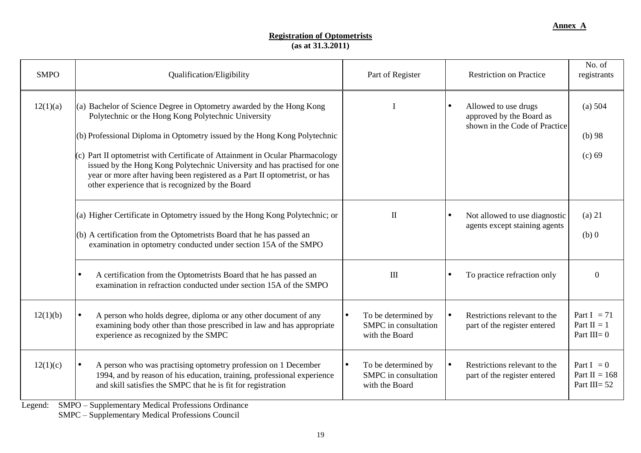#### **Registration of Optometrists (as at 31.3.2011)**

| <b>SMPO</b> | Qualification/Eligibility                                                                                                                                                                                                                                                                                                                                                                                                                                                                                                            | Part of Register                                              | <b>Restriction on Practice</b>                                                    | No. of<br>registrants                             |
|-------------|--------------------------------------------------------------------------------------------------------------------------------------------------------------------------------------------------------------------------------------------------------------------------------------------------------------------------------------------------------------------------------------------------------------------------------------------------------------------------------------------------------------------------------------|---------------------------------------------------------------|-----------------------------------------------------------------------------------|---------------------------------------------------|
| 12(1)(a)    | (a) Bachelor of Science Degree in Optometry awarded by the Hong Kong<br>Polytechnic or the Hong Kong Polytechnic University<br>(b) Professional Diploma in Optometry issued by the Hong Kong Polytechnic<br>$(c)$ Part II optometrist with Certificate of Attainment in Ocular Pharmacology<br>issued by the Hong Kong Polytechnic University and has practised for one<br>year or more after having been registered as a Part II optometrist, or has<br>other experience that is recognized by the Board                            |                                                               | Allowed to use drugs<br>approved by the Board as<br>shown in the Code of Practice | (a) 504<br>(b) $98$<br>$(c)$ 69                   |
|             | (a) Higher Certificate in Optometry issued by the Hong Kong Polytechnic; or<br>(b) A certification from the Optometrists Board that he has passed an<br>examination in optometry conducted under section 15A of the SMPO                                                                                                                                                                                                                                                                                                             | $\mathbf{I}$                                                  | Not allowed to use diagnostic<br>agents except staining agents                    | $(a)$ 21<br>$(b)$ 0                               |
|             | A certification from the Optometrists Board that he has passed an<br>$\bullet$<br>examination in refraction conducted under section 15A of the SMPO                                                                                                                                                                                                                                                                                                                                                                                  | III                                                           | To practice refraction only                                                       | $\Omega$                                          |
| 12(1)(b)    | A person who holds degree, diploma or any other document of any<br>examining body other than those prescribed in law and has appropriate<br>experience as recognized by the SMPC                                                                                                                                                                                                                                                                                                                                                     | To be determined by<br>SMPC in consultation<br>with the Board | Restrictions relevant to the<br>part of the register entered                      | Part I = $71$<br>Part $II = 1$<br>Part $III = 0$  |
| 12(1)(c)    | $\bullet$<br>A person who was practising optometry profession on 1 December<br>1994, and by reason of his education, training, professional experience<br>and skill satisfies the SMPC that he is fit for registration<br>$\mathbf{v}$ and $\mathbf{v}$ and $\mathbf{v}$ and $\mathbf{v}$ and $\mathbf{v}$ and $\mathbf{v}$ and $\mathbf{v}$ and $\mathbf{v}$ and $\mathbf{v}$ and $\mathbf{v}$ and $\mathbf{v}$ and $\mathbf{v}$ and $\mathbf{v}$ and $\mathbf{v}$ and $\mathbf{v}$ and $\mathbf{v}$ and $\mathbf{v}$ and<br>$\sim$ | To be determined by<br>SMPC in consultation<br>with the Board | Restrictions relevant to the<br>part of the register entered                      | Part $I = 0$<br>Part II = $168$<br>Part III= $52$ |

Legend: SMPO – Supplementary Medical Professions Ordinance

SMPC – Supplementary Medical Professions Council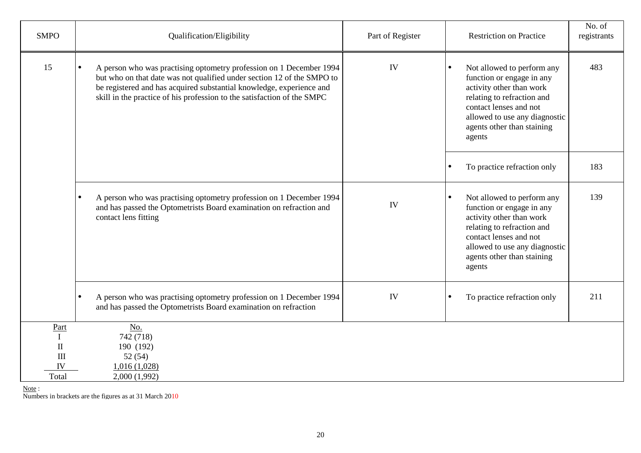| <b>SMPO</b>                                                                       | Qualification/Eligibility                                                                                                                                                                                                                                                                        | Part of Register | <b>Restriction on Practice</b>                                                                                                                                                                                                    | No. of<br>registrants |
|-----------------------------------------------------------------------------------|--------------------------------------------------------------------------------------------------------------------------------------------------------------------------------------------------------------------------------------------------------------------------------------------------|------------------|-----------------------------------------------------------------------------------------------------------------------------------------------------------------------------------------------------------------------------------|-----------------------|
| 15                                                                                | A person who was practising optometry profession on 1 December 1994<br>but who on that date was not qualified under section 12 of the SMPO to<br>be registered and has acquired substantial knowledge, experience and<br>skill in the practice of his profession to the satisfaction of the SMPC | IV               | Not allowed to perform any<br>function or engage in any<br>activity other than work<br>relating to refraction and<br>contact lenses and not<br>allowed to use any diagnostic<br>agents other than staining<br>agents              | 483                   |
|                                                                                   |                                                                                                                                                                                                                                                                                                  |                  | To practice refraction only<br>$\bullet$                                                                                                                                                                                          | 183                   |
|                                                                                   | A person who was practising optometry profession on 1 December 1994<br>$\bullet$<br>and has passed the Optometrists Board examination on refraction and<br>contact lens fitting                                                                                                                  | IV               | Not allowed to perform any<br>$\bullet$<br>function or engage in any<br>activity other than work<br>relating to refraction and<br>contact lenses and not<br>allowed to use any diagnostic<br>agents other than staining<br>agents | 139                   |
|                                                                                   | A person who was practising optometry profession on 1 December 1994<br>$\bullet$<br>and has passed the Optometrists Board examination on refraction                                                                                                                                              | IV               | To practice refraction only<br>$\bullet$                                                                                                                                                                                          | 211                   |
| Part<br>$\mathbf{I}$<br>$\mathbf H$<br>$\mathop{\rm III}\nolimits$<br>IV<br>Total | No.<br>742 (718)<br>190 (192)<br>52(54)<br>1,016(1,028)<br>2,000 (1,992)                                                                                                                                                                                                                         |                  |                                                                                                                                                                                                                                   |                       |

Note:

Numbers in brackets are the figures as at 31 March 2010